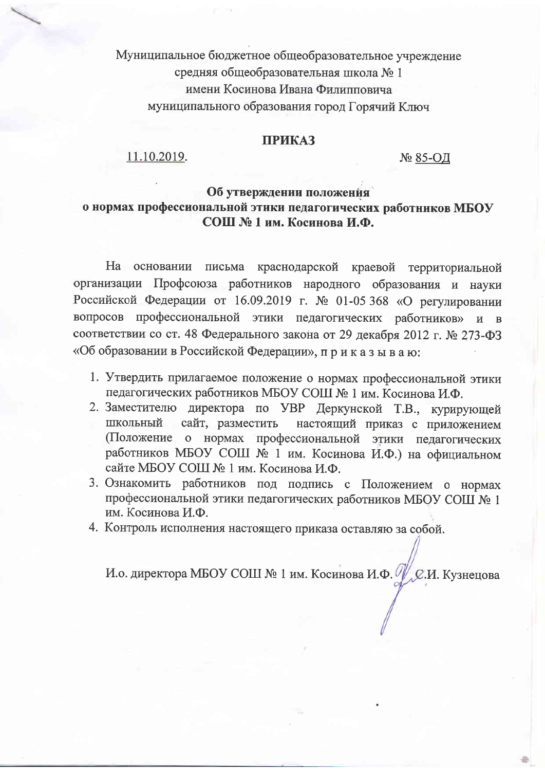Муниципальное бюджетное общеобразовательное учреждение средняя общеобразовательная школа №1 имени Косинова Ивана Филипповича муниципального образования город Горячий Ключ

#### **ПРИКАЗ**

11.10.2019.

№ 85-ОД

### Об утверждении положения о нормах профессиональной этики педагогических работников МБОУ СОШ № 1 им. Косинова И.Ф.

На основании письма краснодарской краевой территориальной организации Профсоюза работников народного образования и науки Российской Федерации от 16.09.2019 г. № 01-05 368 «О регулировании вопросов профессиональной этики педагогических работников»  $H$  B соответствии со ст. 48 Федерального закона от 29 декабря 2012 г. № 273-ФЗ «Об образовании в Российской Федерации», приказываю:

- 1. Утвердить прилагаемое положение о нормах профессиональной этики педагогических работников МБОУ СОШ № 1 им. Косинова И.Ф.
- 2. Заместителю директора по УВР Деркунской Т.В., курирующей ШКОЛЬНЫЙ сайт, разместить настоящий приказ с приложением (Положение о нормах профессиональной этики педагогических работников МБОУ СОШ № 1 им. Косинова И.Ф.) на официальном сайте МБОУ СОШ № 1 им. Косинова И.Ф.
- 3. Ознакомить работников под подпись с Положением о нормах профессиональной этики педагогических работников МБОУ СОШ № 1 им. Косинова И.Ф.
- 4. Контроль исполнения настоящего приказа оставляю за собой.

И.о. директора МБОУ СОШ № 1 им. Косинова И.Ф. У С.И. Кузнецова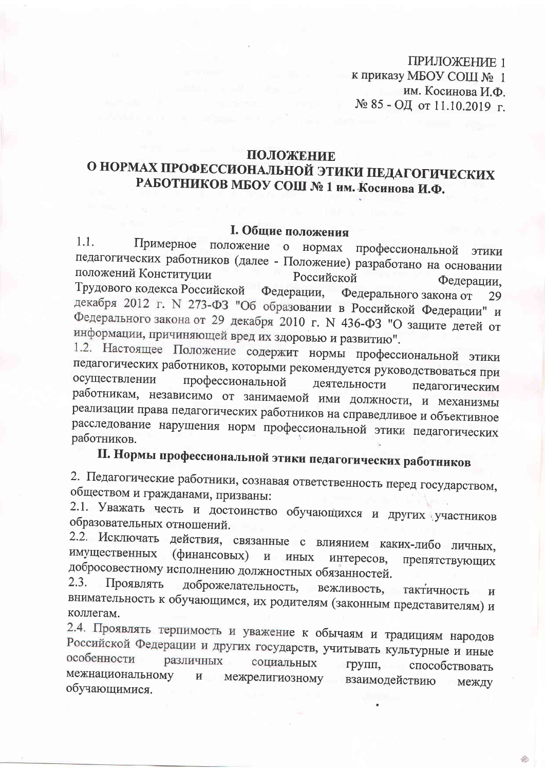ПРИЛОЖЕНИЕ 1 к приказу МБОУ СОШ № 1 им. Косинова И.Ф. № 85 - ОД от 11.10.2019 г.

### ПОЛОЖЕНИЕ

## О НОРМАХ ПРОФЕССИОНАЛЬНОЙ ЭТИКИ ПЕДАГОГИЧЕСКИХ РАБОТНИКОВ МБОУ СОШ № 1 им. Косинова И.Ф.

### I. Общие положения

 $1.1.$ Примерное положение о нормах профессиональной ЭТИКИ педагогических работников (далее - Положение) разработано на основании положений Конституции Российской Федерации. Трудового кодекса Российской Федерации, Федерального закона от 29 декабря 2012 г. N 273-ФЗ "Об образовании в Российской Федерации" и Федерального закона от 29 декабря 2010 г. N 436-ФЗ "О защите детей от информации, причиняющей вред их здоровью и развитию".

1.2. Настоящее Положение содержит нормы профессиональной этики педагогических работников, которыми рекомендуется руководствоваться при осуществлении профессиональной деятельности педагогическим работникам, независимо от занимаемой ими должности, и механизмы реализации права педагогических работников на справедливое и объективное расследование нарушения норм профессиональной этики педагогических работников.

# П. Нормы профессиональной этики педагогических работников

2. Педагогические работники, сознавая ответственность перед государством, обществом и гражданами, призваны:

2.1. Уважать честь и достоинство обучающихся и других участников образовательных отношений.

2.2. Исключать действия, связанные с влиянием каких-либо личных, имущественных (финансовых) и иных интересов. препятствующих добросовестному исполнению должностных обязанностей.

Проявлять  $2.3.$ доброжелательность, вежливость, тактичность  $\boldsymbol{M}$ внимательность к обучающимся, их родителям (законным представителям) и коллегам.

2.4. Проявлять терпимость и уважение к обычаям и традициям народов Российской Федерации и других государств, учитывать культурные и иные особенности различных социальных групп, способствовать межнациональному межрелигиозному взаимодействию  $\mathbf{H}$ между обучающимися.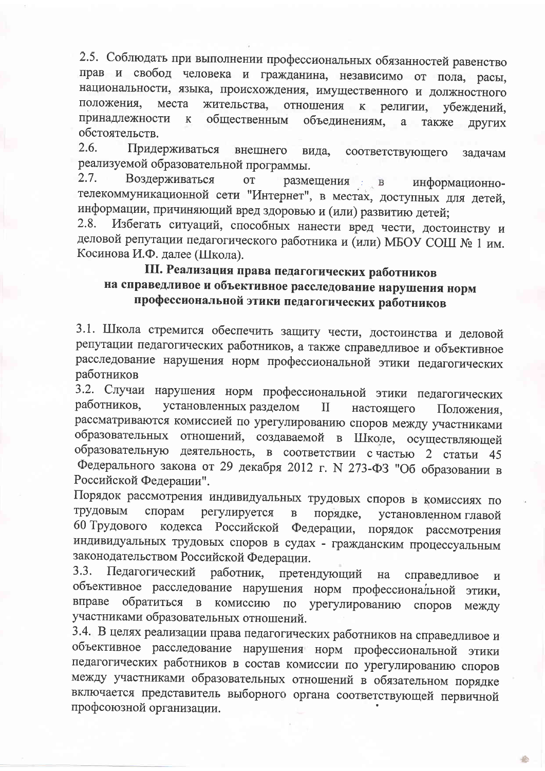2.5. Соблюдать при выполнении профессиональных обязанностей равенство прав и свобод человека и гражданина, независимо от пола, расы, национальности, языка, происхождения, имущественного и должностного положения. места жительства, отношения религии,  $\mathbf{K}$ убеждений. принадлежности общественным  $\mathbf{K}$ объединениям. a. также ДРУГИХ обстоятельств.

2.6. Придерживаться внешнего вида. соответствующего задачам реализуемой образовательной программы.

 $2.7.$ Воздерживаться **OT** размещения в информационнотелекоммуникационной сети "Интернет", в местах, доступных для детей, информации, причиняющий вред здоровью и (или) развитию детей;

Избегать ситуаций, способных нанести вред чести, достоинству и  $2.8.$ деловой репутации педагогического работника и (или) МБОУ СОШ № 1 им. Косинова И.Ф. далее (Школа).

### III. Реализация права педагогических работников на справедливое и объективное расследование нарушения норм профессиональной этики педагогических работников

3.1. Школа стремится обеспечить защиту чести, достоинства и деловой репутации педагогических работников, а также справедливое и объективное расследование нарушения норм профессиональной этики педагогических работников

3.2. Случаи нарушения норм профессиональной этики педагогических установленных разделом работников,  $\mathbf{I}$ настоящего Положения. рассматриваются комиссией по урегулированию споров между участниками образовательных отношений, создаваемой в Школе, осуществляющей образовательную деятельность, в соответствии с частью 2 статьи 45 Федерального закона от 29 декабря 2012 г. N 273-ФЗ "Об образовании в Российской Федерации".

Порядок рассмотрения индивидуальных трудовых споров в комиссиях по трудовым спорам регулируется  $\, {\bf B} \,$ порядке, установленном главой 60 Трудового кодекса Российской Федерации, порядок рассмотрения индивидуальных трудовых споров в судах - гражданским процессуальным законодательством Российской Федерации.

 $3.3.$ Педагогический работник, претендующий на справедливое  $\overline{\mathbf{M}}$ объективное расследование нарушения норм профессиональной этики, обратиться в комиссию по урегулированию споров вправе между участниками образовательных отношений.

3.4. В целях реализации права педагогических работников на справедливое и объективное расследование нарушения норм профессиональной этики педагогических работников в состав комиссии по урегулированию споров между участниками образовательных отношений в обязательном порядке включается представитель выборного органа соответствующей первичной профсоюзной организации.